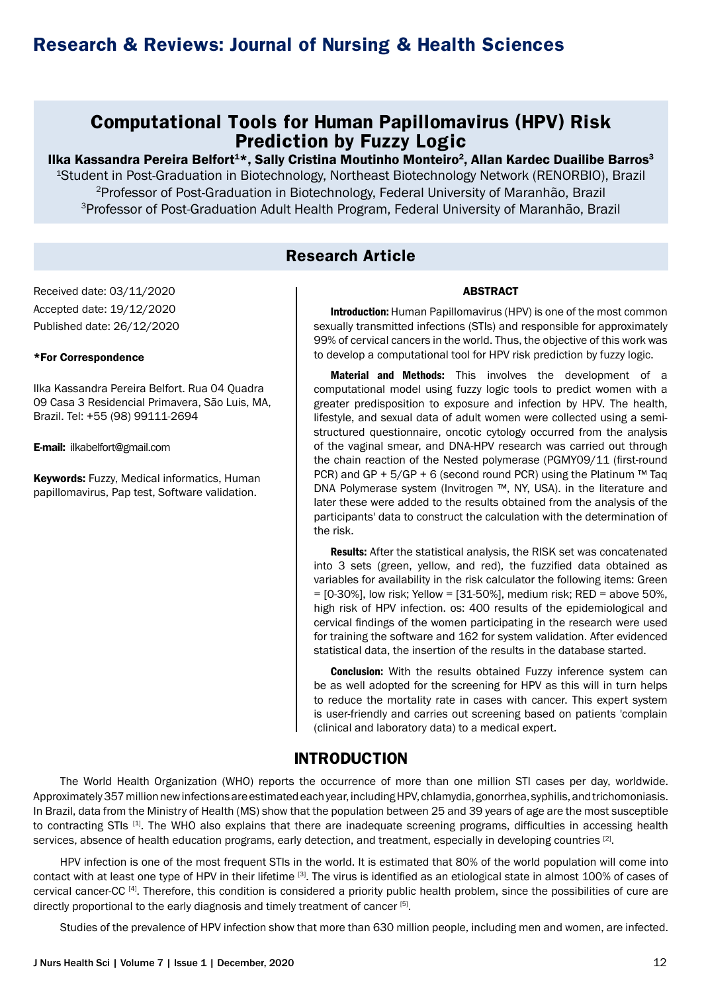## **Computational Tools for Human Papillomavirus (HPV) Risk Prediction by Fuzzy Logic**

Ilka Kassandra Pereira Belfort<sup>1\*</sup>, Sally Cristina Moutinho Monteiro<sup>2</sup>, Allan Kardec Duailibe Barros<sup>3</sup> 1Student in Post-Graduation in Biotechnology, Northeast Biotechnology Network (RENORBIO), Brazil 2Professor of Post-Graduation in Biotechnology, Federal University of Maranhão, Brazil 3Professor of Post-Graduation Adult Health Program, Federal University of Maranhão, Brazil

## **Research Article**

Received date: 03/11/2020 Accepted date: 19/12/2020 Published date: 26/12/2020

### \*For Correspondence

Ilka Kassandra Pereira Belfort. Rua 04 Quadra 09 Casa 3 Residencial Primavera, São Luis, MA, Brazil. Tel: +55 (98) 99111-2694

E-mail: ilkabelfort@gmail.com

**Keywords: Fuzzy, Medical informatics, Human** papillomavirus, Pap test, Software validation.

Introduction: Human Papillomavirus (HPV) is one of the most common sexually transmitted infections (STIs) and responsible for approximately 99% of cervical cancers in the world. Thus, the objective of this work was to develop a computational tool for HPV risk prediction by fuzzy logic.

ABSTRACT

Material and Methods: This involves the development of a computational model using fuzzy logic tools to predict women with a greater predisposition to exposure and infection by HPV. The health, lifestyle, and sexual data of adult women were collected using a semistructured questionnaire, oncotic cytology occurred from the analysis of the vaginal smear, and DNA-HPV research was carried out through the chain reaction of the Nested polymerase (PGMY09/11 (first-round PCR) and GP +  $5/GP$  + 6 (second round PCR) using the Platinum ™ Taq DNA Polymerase system (Invitrogen ™, NY, USA). in the literature and later these were added to the results obtained from the analysis of the participants' data to construct the calculation with the determination of the risk.

Results: After the statistical analysis, the RISK set was concatenated into 3 sets (green, yellow, and red), the fuzzified data obtained as variables for availability in the risk calculator the following items: Green  $=$  [0-30%], low risk; Yellow  $=$  [31-50%], medium risk; RED  $=$  above 50%, high risk of HPV infection. os: 400 results of the epidemiological and cervical findings of the women participating in the research were used for training the software and 162 for system validation. After evidenced statistical data, the insertion of the results in the database started.

**Conclusion:** With the results obtained Fuzzy inference system can be as well adopted for the screening for HPV as this will in turn helps to reduce the mortality rate in cases with cancer. This expert system is user-friendly and carries out screening based on patients 'complain (clinical and laboratory data) to a medical expert.

## **INTRODUCTION**

The World Health Organization (WHO) reports the occurrence of more than one million STI cases per day, worldwide. Approximately 357 million new infections are estimated each year, including HPV, chlamydia, gonorrhea, syphilis, and trichomoniasis. In Brazil, data from the Ministry of Health (MS) show that the population between 25 and 39 years of age are the most susceptible to contracting STIs <sup>[1]</sup>. The WHO also explains that there are inadequate screening programs, difficulties in accessing health services, absence of health education programs, early detection, and treatment, especially in developing countries [2].

HPV infection is one of the most frequent STIs in the world. It is estimated that 80% of the world population will come into contact with at least one type of HPV in their lifetime [3]. The virus is identified as an etiological state in almost 100% of cases of cervical cancer-CC [4]. Therefore, this condition is considered a priority public health problem, since the possibilities of cure are directly proportional to the early diagnosis and timely treatment of cancer [5].

Studies of the prevalence of HPV infection show that more than 630 million people, including men and women, are infected.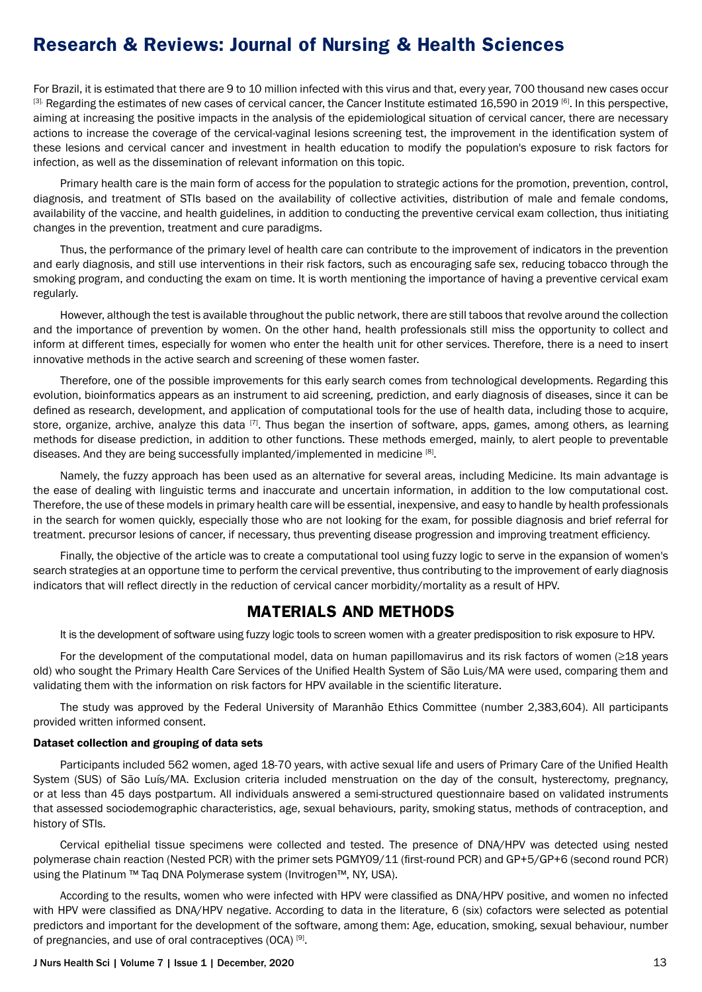For Brazil, it is estimated that there are 9 to 10 million infected with this virus and that, every year, 700 thousand new cases occur [3]. Regarding the estimates of new cases of cervical cancer, the Cancer Institute estimated 16,590 in 2019 [6]. In this perspective, aiming at increasing the positive impacts in the analysis of the epidemiological situation of cervical cancer, there are necessary actions to increase the coverage of the cervical-vaginal lesions screening test, the improvement in the identification system of these lesions and cervical cancer and investment in health education to modify the population's exposure to risk factors for infection, as well as the dissemination of relevant information on this topic.

Primary health care is the main form of access for the population to strategic actions for the promotion, prevention, control, diagnosis, and treatment of STIs based on the availability of collective activities, distribution of male and female condoms, availability of the vaccine, and health guidelines, in addition to conducting the preventive cervical exam collection, thus initiating changes in the prevention, treatment and cure paradigms.

Thus, the performance of the primary level of health care can contribute to the improvement of indicators in the prevention and early diagnosis, and still use interventions in their risk factors, such as encouraging safe sex, reducing tobacco through the smoking program, and conducting the exam on time. It is worth mentioning the importance of having a preventive cervical exam regularly.

However, although the test is available throughout the public network, there are still taboos that revolve around the collection and the importance of prevention by women. On the other hand, health professionals still miss the opportunity to collect and inform at different times, especially for women who enter the health unit for other services. Therefore, there is a need to insert innovative methods in the active search and screening of these women faster.

Therefore, one of the possible improvements for this early search comes from technological developments. Regarding this evolution, bioinformatics appears as an instrument to aid screening, prediction, and early diagnosis of diseases, since it can be defined as research, development, and application of computational tools for the use of health data, including those to acquire, store, organize, archive, analyze this data  $[7]$ . Thus began the insertion of software, apps, games, among others, as learning methods for disease prediction, in addition to other functions. These methods emerged, mainly, to alert people to preventable diseases. And they are being successfully implanted/implemented in medicine [8].

Namely, the fuzzy approach has been used as an alternative for several areas, including Medicine. Its main advantage is the ease of dealing with linguistic terms and inaccurate and uncertain information, in addition to the low computational cost. Therefore, the use of these models in primary health care will be essential, inexpensive, and easy to handle by health professionals in the search for women quickly, especially those who are not looking for the exam, for possible diagnosis and brief referral for treatment. precursor lesions of cancer, if necessary, thus preventing disease progression and improving treatment efficiency.

Finally, the objective of the article was to create a computational tool using fuzzy logic to serve in the expansion of women's search strategies at an opportune time to perform the cervical preventive, thus contributing to the improvement of early diagnosis indicators that will reflect directly in the reduction of cervical cancer morbidity/mortality as a result of HPV.

### **MATERIALS AND METHODS**

It is the development of software using fuzzy logic tools to screen women with a greater predisposition to risk exposure to HPV.

For the development of the computational model, data on human papillomavirus and its risk factors of women (≥18 years old) who sought the Primary Health Care Services of the Unified Health System of São Luis/MA were used, comparing them and validating them with the information on risk factors for HPV available in the scientific literature.

The study was approved by the Federal University of Maranhão Ethics Committee (number 2,383,604). All participants provided written informed consent.

#### Dataset collection and grouping of data sets

Participants included 562 women, aged 18-70 years, with active sexual life and users of Primary Care of the Unified Health System (SUS) of São Luís/MA. Exclusion criteria included menstruation on the day of the consult, hysterectomy, pregnancy, or at less than 45 days postpartum. All individuals answered a semi-structured questionnaire based on validated instruments that assessed sociodemographic characteristics, age, sexual behaviours, parity, smoking status, methods of contraception, and history of STIs.

Cervical epithelial tissue specimens were collected and tested. The presence of DNA/HPV was detected using nested polymerase chain reaction (Nested PCR) with the primer sets PGMY09/11 (first-round PCR) and GP+5/GP+6 (second round PCR) using the Platinum ™ Taq DNA Polymerase system (Invitrogen™, NY, USA).

According to the results, women who were infected with HPV were classified as DNA/HPV positive, and women no infected with HPV were classified as DNA/HPV negative. According to data in the literature, 6 (six) cofactors were selected as potential predictors and important for the development of the software, among them: Age, education, smoking, sexual behaviour, number of pregnancies, and use of oral contraceptives (OCA) [9].

#### J Nurs Health Sci | Volume 7 | Issue 1 | December, 2020 13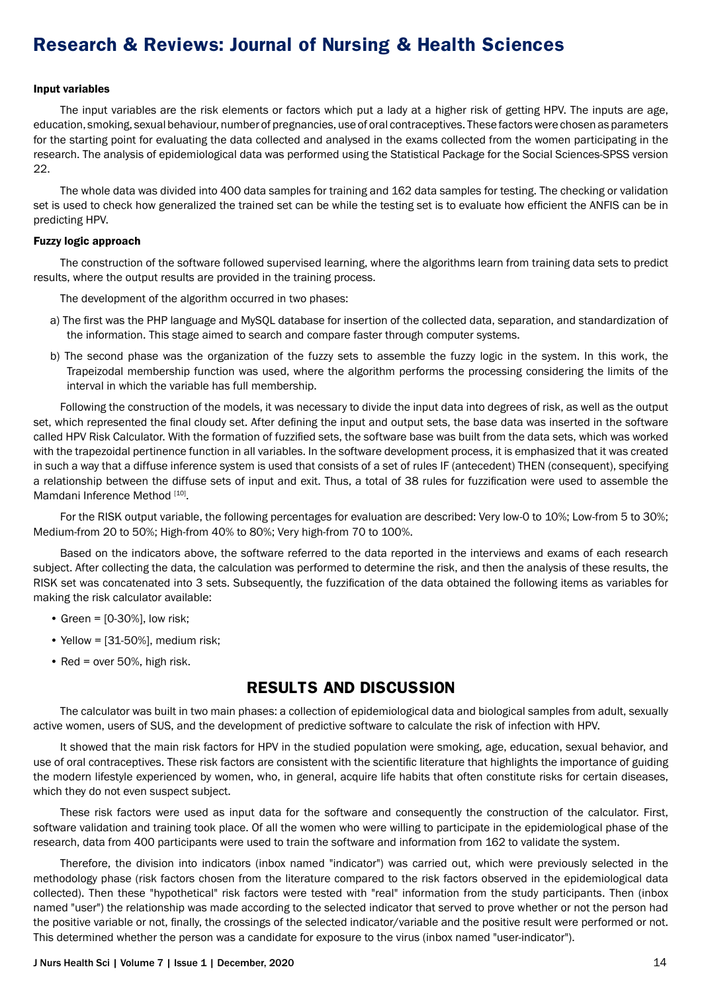#### Input variables

The input variables are the risk elements or factors which put a lady at a higher risk of getting HPV. The inputs are age, education, smoking, sexual behaviour, number of pregnancies, use of oral contraceptives. These factors were chosen as parameters for the starting point for evaluating the data collected and analysed in the exams collected from the women participating in the research. The analysis of epidemiological data was performed using the Statistical Package for the Social Sciences-SPSS version 22.

The whole data was divided into 400 data samples for training and 162 data samples for testing. The checking or validation set is used to check how generalized the trained set can be while the testing set is to evaluate how efficient the ANFIS can be in predicting HPV.

#### Fuzzy logic approach

The construction of the software followed supervised learning, where the algorithms learn from training data sets to predict results, where the output results are provided in the training process.

The development of the algorithm occurred in two phases:

- a) The first was the PHP language and MySQL database for insertion of the collected data, separation, and standardization of the information. This stage aimed to search and compare faster through computer systems.
- b) The second phase was the organization of the fuzzy sets to assemble the fuzzy logic in the system. In this work, the Trapeizodal membership function was used, where the algorithm performs the processing considering the limits of the interval in which the variable has full membership.

Following the construction of the models, it was necessary to divide the input data into degrees of risk, as well as the output set, which represented the final cloudy set. After defining the input and output sets, the base data was inserted in the software called HPV Risk Calculator. With the formation of fuzzified sets, the software base was built from the data sets, which was worked with the trapezoidal pertinence function in all variables. In the software development process, it is emphasized that it was created in such a way that a diffuse inference system is used that consists of a set of rules IF (antecedent) THEN (consequent), specifying a relationship between the diffuse sets of input and exit. Thus, a total of 38 rules for fuzzification were used to assemble the Mamdani Inference Method [10].

For the RISK output variable, the following percentages for evaluation are described: Very low-0 to 10%; Low-from 5 to 30%; Medium-from 20 to 50%; High-from 40% to 80%; Very high-from 70 to 100%.

Based on the indicators above, the software referred to the data reported in the interviews and exams of each research subject. After collecting the data, the calculation was performed to determine the risk, and then the analysis of these results, the RISK set was concatenated into 3 sets. Subsequently, the fuzzification of the data obtained the following items as variables for making the risk calculator available:

- Green =  $[0-30\%]$ , low risk;
- Yellow = [31-50%], medium risk;
- Red = over 50%, high risk.

## **RESULTS AND DISCUSSION**

The calculator was built in two main phases: a collection of epidemiological data and biological samples from adult, sexually active women, users of SUS, and the development of predictive software to calculate the risk of infection with HPV.

It showed that the main risk factors for HPV in the studied population were smoking, age, education, sexual behavior, and use of oral contraceptives. These risk factors are consistent with the scientific literature that highlights the importance of guiding the modern lifestyle experienced by women, who, in general, acquire life habits that often constitute risks for certain diseases, which they do not even suspect subject.

These risk factors were used as input data for the software and consequently the construction of the calculator. First, software validation and training took place. Of all the women who were willing to participate in the epidemiological phase of the research, data from 400 participants were used to train the software and information from 162 to validate the system.

Therefore, the division into indicators (inbox named "indicator") was carried out, which were previously selected in the methodology phase (risk factors chosen from the literature compared to the risk factors observed in the epidemiological data collected). Then these "hypothetical" risk factors were tested with "real" information from the study participants. Then (inbox named "user") the relationship was made according to the selected indicator that served to prove whether or not the person had the positive variable or not, finally, the crossings of the selected indicator/variable and the positive result were performed or not. This determined whether the person was a candidate for exposure to the virus (inbox named "user-indicator").

#### J Nurs Health Sci | Volume 7 | Issue 1 | December, 2020 14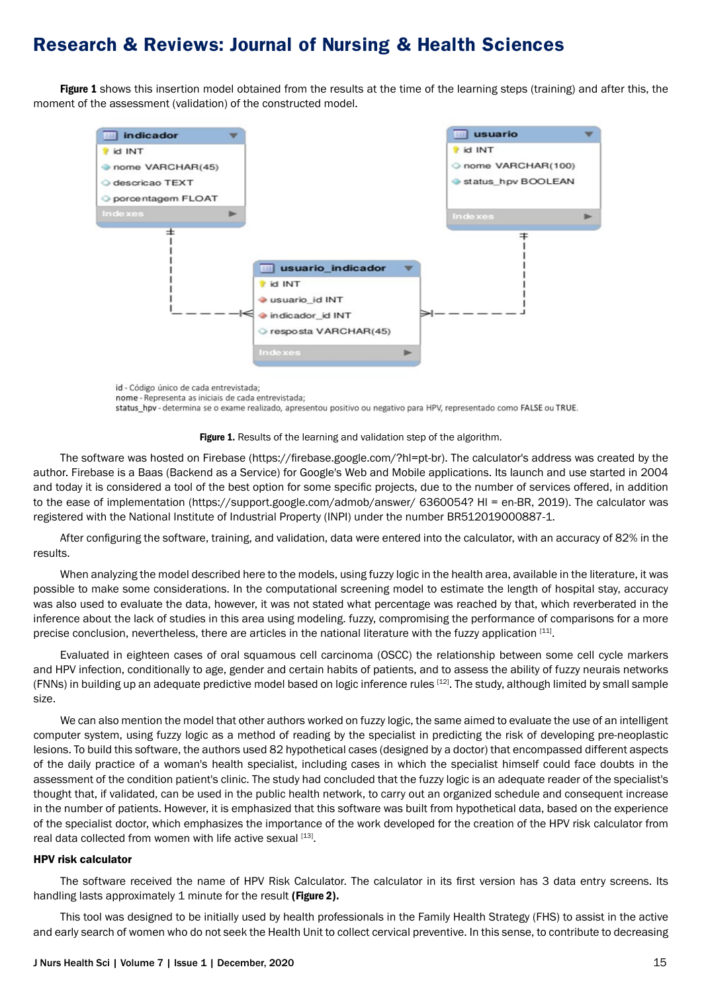Figure 1 shows this insertion model obtained from the results at the time of the learning steps (training) and after this, the moment of the assessment (validation) of the constructed model.



id - Código único de cada entrevistada; nome - Representa as iniciais de cada entrevistada: status\_hpv - determina se o exame realizado, apresentou positivo ou negativo para HPV, representado como FALSE ou TRUE.



The software was hosted on Firebase (https://firebase.google.com/?hl=pt-br). The calculator's address was created by the author. Firebase is a Baas (Backend as a Service) for Google's Web and Mobile applications. Its launch and use started in 2004 and today it is considered a tool of the best option for some specific projects, due to the number of services offered, in addition to the ease of implementation (https://support.google.com/admob/answer/ 6360054? HI = en-BR, 2019). The calculator was registered with the National Institute of Industrial Property (INPI) under the number BR512019000887-1.

After configuring the software, training, and validation, data were entered into the calculator, with an accuracy of 82% in the results.

When analyzing the model described here to the models, using fuzzy logic in the health area, available in the literature, it was possible to make some considerations. In the computational screening model to estimate the length of hospital stay, accuracy was also used to evaluate the data, however, it was not stated what percentage was reached by that, which reverberated in the inference about the lack of studies in this area using modeling. fuzzy, compromising the performance of comparisons for a more precise conclusion, nevertheless, there are articles in the national literature with the fuzzy application [11].

Evaluated in eighteen cases of oral squamous cell carcinoma (OSCC) the relationship between some cell cycle markers and HPV infection, conditionally to age, gender and certain habits of patients, and to assess the ability of fuzzy neurais networks (FNNs) in building up an adequate predictive model based on logic inference rules  $[12]$ . The study, although limited by small sample size.

We can also mention the model that other authors worked on fuzzy logic, the same aimed to evaluate the use of an intelligent computer system, using fuzzy logic as a method of reading by the specialist in predicting the risk of developing pre-neoplastic lesions. To build this software, the authors used 82 hypothetical cases (designed by a doctor) that encompassed different aspects of the daily practice of a woman's health specialist, including cases in which the specialist himself could face doubts in the assessment of the condition patient's clinic. The study had concluded that the fuzzy logic is an adequate reader of the specialist's thought that, if validated, can be used in the public health network, to carry out an organized schedule and consequent increase in the number of patients. However, it is emphasized that this software was built from hypothetical data, based on the experience of the specialist doctor, which emphasizes the importance of the work developed for the creation of the HPV risk calculator from real data collected from women with life active sexual [13].

#### HPV risk calculator

The software received the name of HPV Risk Calculator. The calculator in its first version has 3 data entry screens. Its handling lasts approximately 1 minute for the result (Figure 2).

This tool was designed to be initially used by health professionals in the Family Health Strategy (FHS) to assist in the active and early search of women who do not seek the Health Unit to collect cervical preventive. In this sense, to contribute to decreasing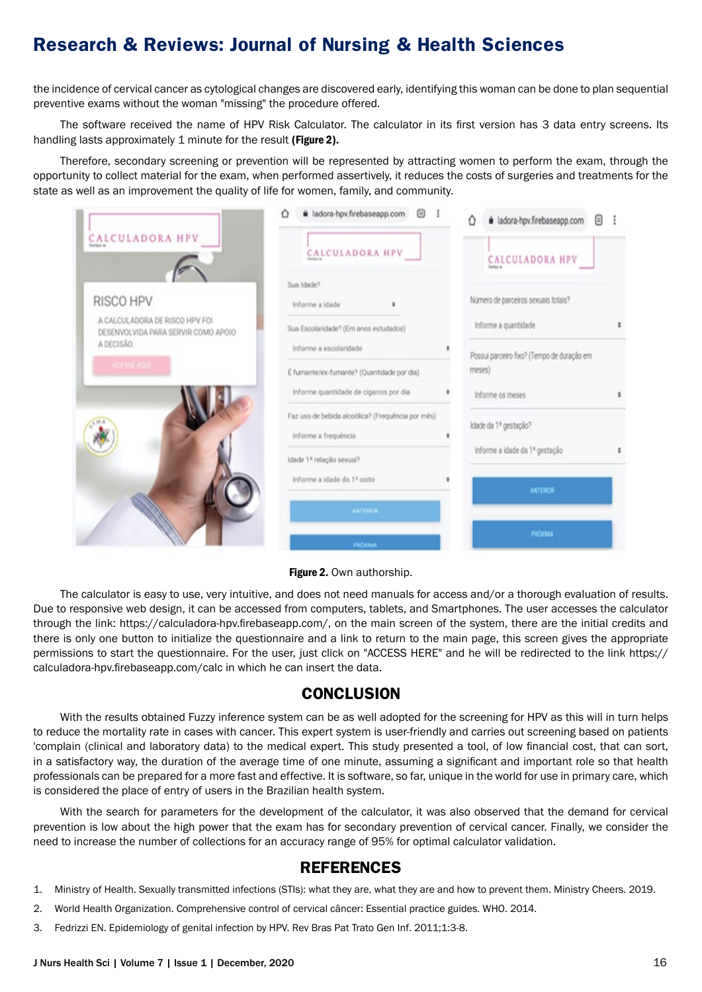the incidence of cervical cancer as cytological changes are discovered early, identifying this woman can be done to plan sequential preventive exams without the woman "missing" the procedure offered.

The software received the name of HPV Risk Calculator. The calculator in its first version has 3 data entry screens. Its handling lasts approximately 1 minute for the result (Figure 2).

Therefore, secondary screening or prevention will be represented by attracting women to perform the exam, through the opportunity to collect material for the exam, when performed assertively, it reduces the costs of surgeries and treatments for the state as well as an improvement the quality of life for women, family, and community.

|                                                                 | a ladora-hpv.firebaseapp.com<br>囲<br>$\triangle$                                       | Δ<br>回<br>i ladora-hpv.firebaseapp.com                             |  |
|-----------------------------------------------------------------|----------------------------------------------------------------------------------------|--------------------------------------------------------------------|--|
| CALCULADORA HPV                                                 | CALCULADORA HPV                                                                        | CALCULADORA HPV                                                    |  |
| RISCO HPV<br>A CALCULADORA DE RISCO HPV FOI                     | Sua Idade?<br>Informe a idade                                                          | Número de parceiros sexuais totais?                                |  |
| DESENVOLVIDA PARA SERVIR COMO APOIO<br>A DECISÃO.<br>ACCSSCAQUE | Sua Escolaridade? (Em anos estudados)<br>Informe a escolaridade                        | Informe a quantidade<br>Possui parceiro fixo? (Tempo de duração em |  |
|                                                                 | É furnante/ex-furnante? (Quantidade por dia)<br>Informe quantidade de cigarros por dia | meses)<br>Informe os meses                                         |  |
|                                                                 | Faz uso de bebida alcoólica? (Frequência por mês)<br>Informe a frequência              | Idade da 1º gestação?<br>Informe a idade da 1ª gestação            |  |
|                                                                 | Idade 1ª relação sexual?<br>Informe a idade do 1º coito                                | <b>ANTERIOR</b>                                                    |  |
|                                                                 | <b>ANTERIOR</b>                                                                        | PROXIMA                                                            |  |
|                                                                 | PRÓXIMA                                                                                |                                                                    |  |

Figure 2. Own authorship.

The calculator is easy to use, very intuitive, and does not need manuals for access and/or a thorough evaluation of results. Due to responsive web design, it can be accessed from computers, tablets, and Smartphones. The user accesses the calculator through the link: https://calculadora-hpv.firebaseapp.com/, on the main screen of the system, there are the initial credits and there is only one button to initialize the questionnaire and a link to return to the main page, this screen gives the appropriate permissions to start the questionnaire. For the user, just click on "ACCESS HERE" and he will be redirected to the link https:// calculadora-hpv.firebaseapp.com/calc in which he can insert the data.

### **CONCLUSION**

With the results obtained Fuzzy inference system can be as well adopted for the screening for HPV as this will in turn helps to reduce the mortality rate in cases with cancer. This expert system is user-friendly and carries out screening based on patients 'complain (clinical and laboratory data) to the medical expert. This study presented a tool, of low financial cost, that can sort, in a satisfactory way, the duration of the average time of one minute, assuming a significant and important role so that health professionals can be prepared for a more fast and effective. It is software, so far, unique in the world for use in primary care, which is considered the place of entry of users in the Brazilian health system.

With the search for parameters for the development of the calculator, it was also observed that the demand for cervical prevention is low about the high power that the exam has for secondary prevention of cervical cancer. Finally, we consider the need to increase the number of collections for an accuracy range of 95% for optimal calculator validation.

### **REFERENCES**

- 1. Ministry of Health. Sexually transmitted infections (STIs): what they are, what they are and how to prevent them. Ministry Cheers. 2019.
- 2. World Health Organization. Comprehensive control of cervical câncer: Essential practice guides. WHO. 2014.
- 3. Fedrizzi EN. Epidemiology of genital infection by HPV. Rev Bras Pat Trato Gen Inf. 2011;1:3-8.